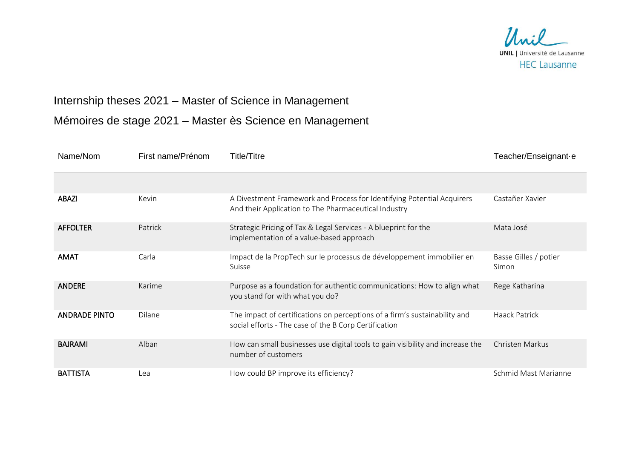

## Internship theses 2021 – Master of Science in Management

Mémoires de stage 2021 – Master ès Science en Management

| Name/Nom             | First name/Prénom | <b>Title/Titre</b>                                                                                                                  | Teacher/Enseignant-e           |
|----------------------|-------------------|-------------------------------------------------------------------------------------------------------------------------------------|--------------------------------|
|                      |                   |                                                                                                                                     |                                |
| <b>ABAZI</b>         | Kevin             | A Divestment Framework and Process for Identifying Potential Acquirers<br>And their Application to The Pharmaceutical Industry      | Castañer Xavier                |
| <b>AFFOLTER</b>      | Patrick           | Strategic Pricing of Tax & Legal Services - A blueprint for the<br>implementation of a value-based approach                         | Mata José                      |
| <b>AMAT</b>          | Carla             | Impact de la PropTech sur le processus de développement immobilier en<br>Suisse                                                     | Basse Gilles / potier<br>Simon |
| <b>ANDERE</b>        | Karime            | Purpose as a foundation for authentic communications: How to align what<br>you stand for with what you do?                          | Rege Katharina                 |
| <b>ANDRADE PINTO</b> | <b>Dilane</b>     | The impact of certifications on perceptions of a firm's sustainability and<br>social efforts - The case of the B Corp Certification | Haack Patrick                  |
| <b>BAJRAMI</b>       | Alban             | How can small businesses use digital tools to gain visibility and increase the<br>number of customers                               | Christen Markus                |
| <b>BATTISTA</b>      | Lea               | How could BP improve its efficiency?                                                                                                | Schmid Mast Marianne           |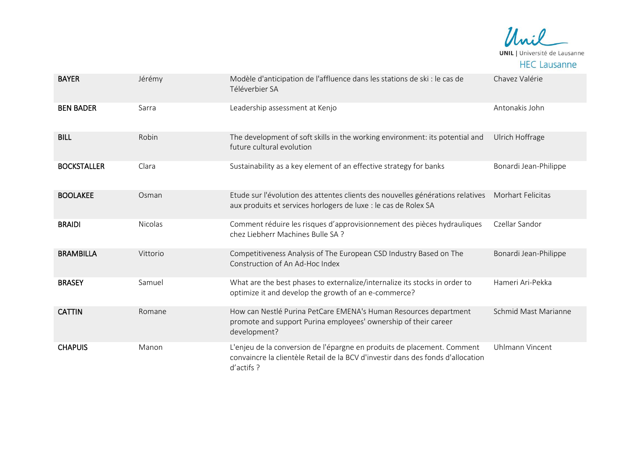

| <b>BAYER</b>       | Jérémy         | Modèle d'anticipation de l'affluence dans les stations de ski : le cas de<br>Téléverbier SA                                                                              | Chavez Valérie           |
|--------------------|----------------|--------------------------------------------------------------------------------------------------------------------------------------------------------------------------|--------------------------|
| <b>BEN BADER</b>   | Sarra          | Leadership assessment at Kenjo                                                                                                                                           | Antonakis John           |
| <b>BILL</b>        | Robin          | The development of soft skills in the working environment: its potential and<br>future cultural evolution                                                                | Ulrich Hoffrage          |
| <b>BOCKSTALLER</b> | Clara          | Sustainability as a key element of an effective strategy for banks                                                                                                       | Bonardi Jean-Philippe    |
| <b>BOOLAKEE</b>    | Osman          | Etude sur l'évolution des attentes clients des nouvelles générations relatives<br>aux produits et services horlogers de luxe : le cas de Rolex SA                        | <b>Morhart Felicitas</b> |
| <b>BRAIDI</b>      | <b>Nicolas</b> | Comment réduire les risques d'approvisionnement des pièces hydrauliques<br>chez Liebherr Machines Bulle SA ?                                                             | Czellar Sandor           |
| <b>BRAMBILLA</b>   | Vittorio       | Competitiveness Analysis of The European CSD Industry Based on The<br>Construction of An Ad-Hoc Index                                                                    | Bonardi Jean-Philippe    |
| <b>BRASEY</b>      | Samuel         | What are the best phases to externalize/internalize its stocks in order to<br>optimize it and develop the growth of an e-commerce?                                       | Hameri Ari-Pekka         |
| <b>CATTIN</b>      | Romane         | How can Nestlé Purina PetCare EMENA's Human Resources department<br>promote and support Purina employees' ownership of their career<br>development?                      | Schmid Mast Marianne     |
| <b>CHAPUIS</b>     | Manon          | L'enjeu de la conversion de l'épargne en produits de placement. Comment<br>convaincre la clientèle Retail de la BCV d'investir dans des fonds d'allocation<br>d'actifs ? | Uhlmann Vincent          |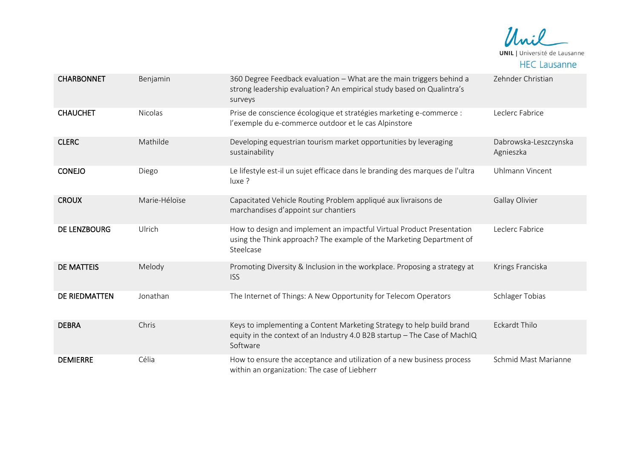

| <b>CHARBONNET</b> | Benjamin       | 360 Degree Feedback evaluation - What are the main triggers behind a<br>strong leadership evaluation? An empirical study based on Qualintra's<br>surveys       | Zehnder Christian                  |
|-------------------|----------------|----------------------------------------------------------------------------------------------------------------------------------------------------------------|------------------------------------|
| <b>CHAUCHET</b>   | <b>Nicolas</b> | Prise de conscience écologique et stratégies marketing e-commerce :<br>l'exemple du e-commerce outdoor et le cas Alpinstore                                    | Leclerc Fabrice                    |
| <b>CLERC</b>      | Mathilde       | Developing equestrian tourism market opportunities by leveraging<br>sustainability                                                                             | Dabrowska-Leszczynska<br>Agnieszka |
| <b>CONEJO</b>     | Diego          | Le lifestyle est-il un sujet efficace dans le branding des marques de l'ultra<br>luxe ?                                                                        | Uhlmann Vincent                    |
| <b>CROUX</b>      | Marie-Héloïse  | Capacitated Vehicle Routing Problem appliqué aux livraisons de<br>marchandises d'appoint sur chantiers                                                         | Gallay Olivier                     |
| DE LENZBOURG      | Ulrich         | How to design and implement an impactful Virtual Product Presentation<br>using the Think approach? The example of the Marketing Department of<br>Steelcase     | Leclerc Fabrice                    |
| <b>DE MATTEIS</b> | Melody         | Promoting Diversity & Inclusion in the workplace. Proposing a strategy at<br><b>ISS</b>                                                                        | Krings Franciska                   |
| DE RIEDMATTEN     | Jonathan       | The Internet of Things: A New Opportunity for Telecom Operators                                                                                                | Schlager Tobias                    |
| <b>DEBRA</b>      | Chris          | Keys to implementing a Content Marketing Strategy to help build brand<br>equity in the context of an Industry 4.0 B2B startup - The Case of MachIQ<br>Software | <b>Eckardt Thilo</b>               |
| <b>DEMIERRE</b>   | Célia          | How to ensure the acceptance and utilization of a new business process<br>within an organization: The case of Liebherr                                         | Schmid Mast Marianne               |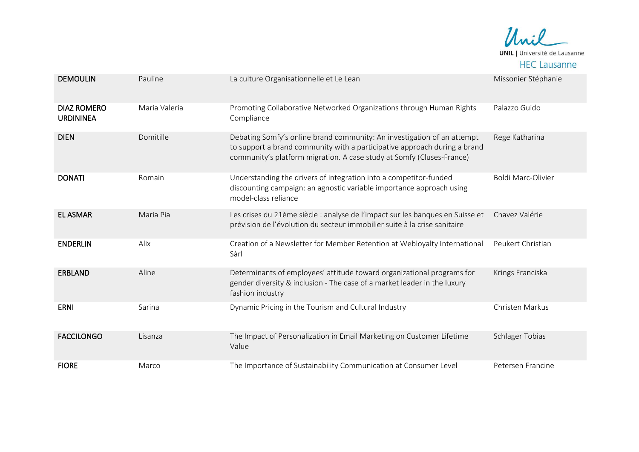

| <b>DEMOULIN</b>                        | Pauline       | La culture Organisationnelle et Le Lean                                                                                                                                                                                       | Missonier Stéphanie    |
|----------------------------------------|---------------|-------------------------------------------------------------------------------------------------------------------------------------------------------------------------------------------------------------------------------|------------------------|
|                                        |               |                                                                                                                                                                                                                               |                        |
| <b>DIAZ ROMERO</b><br><b>URDININEA</b> | Maria Valeria | Promoting Collaborative Networked Organizations through Human Rights<br>Compliance                                                                                                                                            | Palazzo Guido          |
| <b>DIEN</b>                            | Domitille     | Debating Somfy's online brand community: An investigation of an attempt<br>to support a brand community with a participative approach during a brand<br>community's platform migration. A case study at Somfy (Cluses-France) | Rege Katharina         |
| <b>DONATI</b>                          | Romain        | Understanding the drivers of integration into a competitor-funded<br>discounting campaign: an agnostic variable importance approach using<br>model-class reliance                                                             | Boldi Marc-Olivier     |
| <b>EL ASMAR</b>                        | Maria Pia     | Les crises du 21ème siècle : analyse de l'impact sur les banques en Suisse et<br>prévision de l'évolution du secteur immobilier suite à la crise sanitaire                                                                    | Chavez Valérie         |
| <b>ENDERLIN</b>                        | Alix          | Creation of a Newsletter for Member Retention at Webloyalty International<br>Sàrl                                                                                                                                             | Peukert Christian      |
| <b>ERBLAND</b>                         | Aline         | Determinants of employees' attitude toward organizational programs for<br>gender diversity & inclusion - The case of a market leader in the luxury<br>fashion industry                                                        | Krings Franciska       |
| <b>ERNI</b>                            | Sarina        | Dynamic Pricing in the Tourism and Cultural Industry                                                                                                                                                                          | Christen Markus        |
| <b>FACCILONGO</b>                      | Lisanza       | The Impact of Personalization in Email Marketing on Customer Lifetime<br>Value                                                                                                                                                | <b>Schlager Tobias</b> |
| <b>FIORE</b>                           | Marco         | The Importance of Sustainability Communication at Consumer Level                                                                                                                                                              | Petersen Francine      |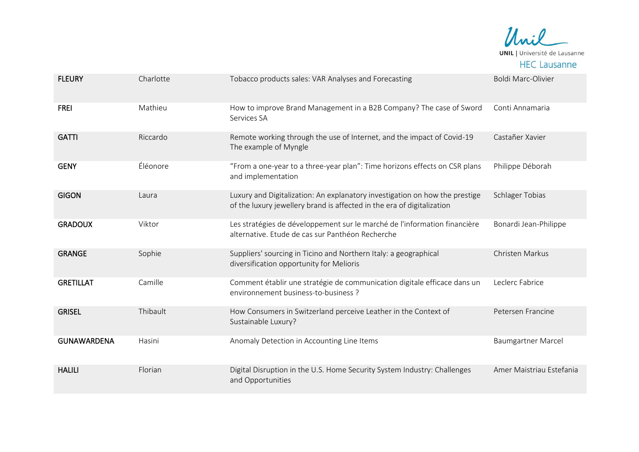

| <b>FLEURY</b>      | Charlotte | Tobacco products sales: VAR Analyses and Forecasting                                                                                                  | <b>Boldi Marc-Olivier</b> |
|--------------------|-----------|-------------------------------------------------------------------------------------------------------------------------------------------------------|---------------------------|
| <b>FREI</b>        | Mathieu   | How to improve Brand Management in a B2B Company? The case of Sword<br>Services SA                                                                    | Conti Annamaria           |
| <b>GATTI</b>       | Riccardo  | Remote working through the use of Internet, and the impact of Covid-19<br>The example of Myngle                                                       | Castañer Xavier           |
| <b>GENY</b>        | Éléonore  | "From a one-year to a three-year plan": Time horizons effects on CSR plans<br>and implementation                                                      | Philippe Déborah          |
| <b>GIGON</b>       | Laura     | Luxury and Digitalization: An explanatory investigation on how the prestige<br>of the luxury jewellery brand is affected in the era of digitalization | <b>Schlager Tobias</b>    |
| <b>GRADOUX</b>     | Viktor    | Les stratégies de développement sur le marché de l'information financière<br>alternative. Etude de cas sur Panthéon Recherche                         | Bonardi Jean-Philippe     |
| <b>GRANGE</b>      | Sophie    | Suppliers' sourcing in Ticino and Northern Italy: a geographical<br>diversification opportunity for Melioris                                          | Christen Markus           |
| <b>GRETILLAT</b>   | Camille   | Comment établir une stratégie de communication digitale efficace dans un<br>environnement business-to-business?                                       | Leclerc Fabrice           |
| <b>GRISEL</b>      | Thibault  | How Consumers in Switzerland perceive Leather in the Context of<br>Sustainable Luxury?                                                                | Petersen Francine         |
| <b>GUNAWARDENA</b> | Hasini    | Anomaly Detection in Accounting Line Items                                                                                                            | <b>Baumgartner Marcel</b> |
| <b>HALILI</b>      | Florian   | Digital Disruption in the U.S. Home Security System Industry: Challenges<br>and Opportunities                                                         | Amer Maistriau Estefania  |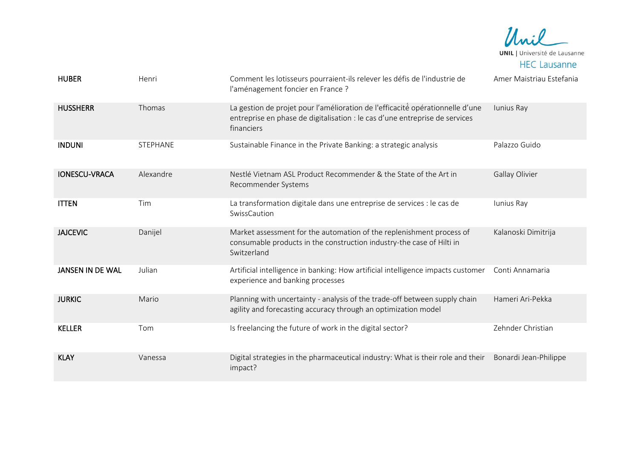Unil **UNIL** | Université de Lausanne **HEC Lausanne** 

| <b>HUBER</b>            | Henri     | Comment les lotisseurs pourraient-ils relever les défis de l'industrie de<br>l'aménagement foncier en France ?                                                             | Amer Maistriau Estefania |
|-------------------------|-----------|----------------------------------------------------------------------------------------------------------------------------------------------------------------------------|--------------------------|
| <b>HUSSHERR</b>         | Thomas    | La gestion de projet pour l'amélioration de l'efficacité opérationnelle d'une<br>entreprise en phase de digitalisation : le cas d'une entreprise de services<br>financiers | Iunius Ray               |
| <b>INDUNI</b>           | STEPHANE  | Sustainable Finance in the Private Banking: a strategic analysis                                                                                                           | Palazzo Guido            |
| <b>IONESCU-VRACA</b>    | Alexandre | Nestlé Vietnam ASL Product Recommender & the State of the Art in<br>Recommender Systems                                                                                    | Gallay Olivier           |
| <b>ITTEN</b>            | Tim       | La transformation digitale dans une entreprise de services : le cas de<br>SwissCaution                                                                                     | Iunius Ray               |
| <b>JAJCEVIC</b>         | Danijel   | Market assessment for the automation of the replenishment process of<br>consumable products in the construction industry-the case of Hilti in<br>Switzerland               | Kalanoski Dimitrija      |
| <b>JANSEN IN DE WAL</b> | Julian    | Artificial intelligence in banking: How artificial intelligence impacts customer<br>experience and banking processes                                                       | Conti Annamaria          |
| <b>JURKIC</b>           | Mario     | Planning with uncertainty - analysis of the trade-off between supply chain<br>agility and forecasting accuracy through an optimization model                               | Hameri Ari-Pekka         |
| <b>KELLER</b>           | Tom       | Is freelancing the future of work in the digital sector?                                                                                                                   | Zehnder Christian        |
| <b>KLAY</b>             | Vanessa   | Digital strategies in the pharmaceutical industry: What is their role and their<br>impact?                                                                                 | Bonardi Jean-Philippe    |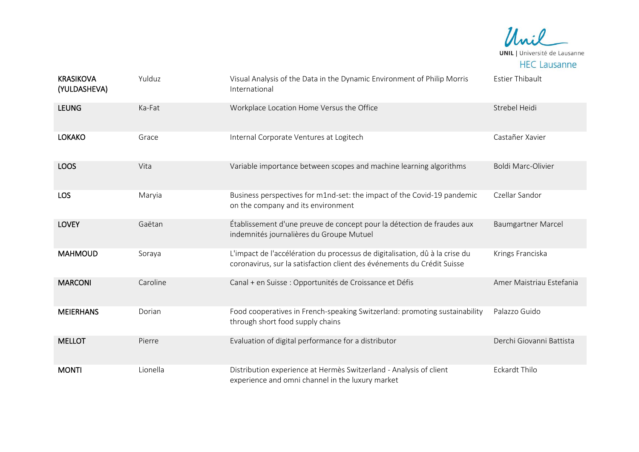

| <b>KRASIKOVA</b><br>(YULDASHEVA) | Yulduz   | Visual Analysis of the Data in the Dynamic Environment of Philip Morris<br>International                                                               | <b>Estier Thibault</b>    |
|----------------------------------|----------|--------------------------------------------------------------------------------------------------------------------------------------------------------|---------------------------|
| <b>LEUNG</b>                     | Ka-Fat   | Workplace Location Home Versus the Office                                                                                                              | Strebel Heidi             |
| <b>LOKAKO</b>                    | Grace    | Internal Corporate Ventures at Logitech                                                                                                                | Castañer Xavier           |
| <b>LOOS</b>                      | Vita     | Variable importance between scopes and machine learning algorithms                                                                                     | Boldi Marc-Olivier        |
| <b>LOS</b>                       | Maryia   | Business perspectives for m1nd-set: the impact of the Covid-19 pandemic<br>on the company and its environment                                          | Czellar Sandor            |
| <b>LOVEY</b>                     | Gaëtan   | Établissement d'une preuve de concept pour la détection de fraudes aux<br>indemnités journalières du Groupe Mutuel                                     | <b>Baumgartner Marcel</b> |
| <b>MAHMOUD</b>                   | Soraya   | L'impact de l'accélération du processus de digitalisation, dû à la crise du<br>coronavirus, sur la satisfaction client des événements du Crédit Suisse | Krings Franciska          |
| <b>MARCONI</b>                   | Caroline | Canal + en Suisse : Opportunités de Croissance et Défis                                                                                                | Amer Maistriau Estefania  |
| <b>MEIERHANS</b>                 | Dorian   | Food cooperatives in French-speaking Switzerland: promoting sustainability<br>through short food supply chains                                         | Palazzo Guido             |
| <b>MELLOT</b>                    | Pierre   | Evaluation of digital performance for a distributor                                                                                                    | Derchi Giovanni Battista  |
| <b>MONTI</b>                     | Lionella | Distribution experience at Hermès Switzerland - Analysis of client<br>experience and omni channel in the luxury market                                 | Eckardt Thilo             |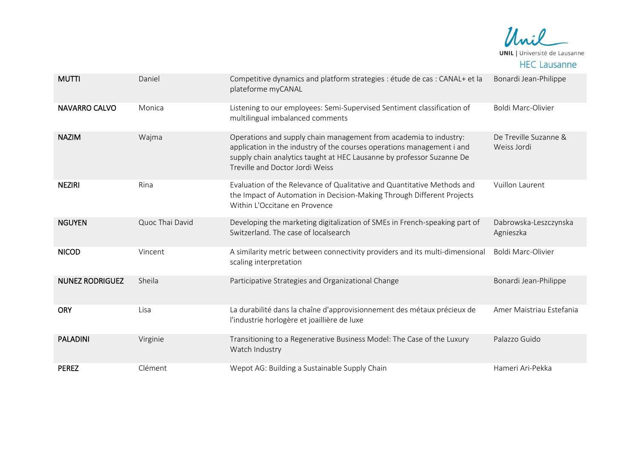

| <b>MUTTI</b>           | Daniel          | Competitive dynamics and platform strategies : étude de cas : CANAL+ et la<br>plateforme myCANAL                                                                                                                                                        | Bonardi Jean-Philippe                |
|------------------------|-----------------|---------------------------------------------------------------------------------------------------------------------------------------------------------------------------------------------------------------------------------------------------------|--------------------------------------|
| <b>NAVARRO CALVO</b>   | Monica          | Listening to our employees: Semi-Supervised Sentiment classification of<br>multilingual imbalanced comments                                                                                                                                             | Boldi Marc-Olivier                   |
| <b>NAZIM</b>           | Wajma           | Operations and supply chain management from academia to industry:<br>application in the industry of the courses operations management i and<br>supply chain analytics taught at HEC Lausanne by professor Suzanne De<br>Treville and Doctor Jordi Weiss | De Treville Suzanne &<br>Weiss Jordi |
| <b>NEZIRI</b>          | Rina            | Evaluation of the Relevance of Qualitative and Quantitative Methods and<br>the Impact of Automation in Decision-Making Through Different Projects<br>Within L'Occitane en Provence                                                                      | Vuillon Laurent                      |
| <b>NGUYEN</b>          | Quoc Thai David | Developing the marketing digitalization of SMEs in French-speaking part of<br>Switzerland. The case of localsearch                                                                                                                                      | Dabrowska-Leszczynska<br>Agnieszka   |
| <b>NICOD</b>           | Vincent         | A similarity metric between connectivity providers and its multi-dimensional<br>scaling interpretation                                                                                                                                                  | Boldi Marc-Olivier                   |
| <b>NUNEZ RODRIGUEZ</b> | Sheila          | Participative Strategies and Organizational Change                                                                                                                                                                                                      | Bonardi Jean-Philippe                |
| <b>ORY</b>             | Lisa            | La durabilité dans la chaîne d'approvisionnement des métaux précieux de<br>l'industrie horlogère et joaillière de luxe                                                                                                                                  | Amer Maistriau Estefania             |
| <b>PALADINI</b>        | Virginie        | Transitioning to a Regenerative Business Model: The Case of the Luxury<br>Watch Industry                                                                                                                                                                | Palazzo Guido                        |
| <b>PEREZ</b>           | Clément         | Wepot AG: Building a Sustainable Supply Chain                                                                                                                                                                                                           | Hameri Ari-Pekka                     |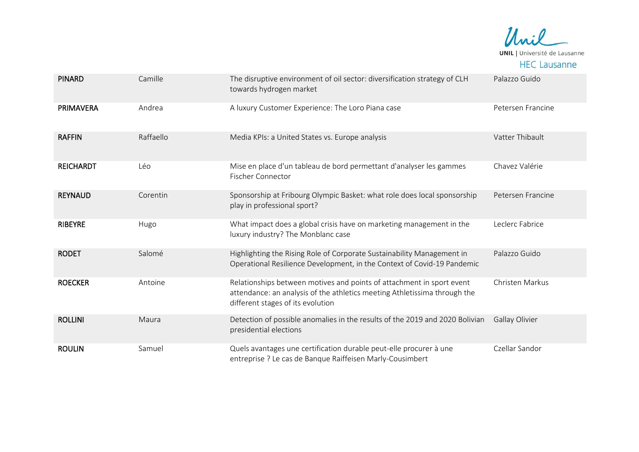

| <b>PINARD</b>    | Camille   | The disruptive environment of oil sector: diversification strategy of CLH<br>towards hydrogen market                                                                                    | Palazzo Guido     |
|------------------|-----------|-----------------------------------------------------------------------------------------------------------------------------------------------------------------------------------------|-------------------|
| <b>PRIMAVERA</b> | Andrea    | A luxury Customer Experience: The Loro Piana case                                                                                                                                       | Petersen Francine |
| <b>RAFFIN</b>    | Raffaello | Media KPIs: a United States vs. Europe analysis                                                                                                                                         | Vatter Thibault   |
| <b>REICHARDT</b> | Léo       | Mise en place d'un tableau de bord permettant d'analyser les gammes<br><b>Fischer Connector</b>                                                                                         | Chavez Valérie    |
| <b>REYNAUD</b>   | Corentin  | Sponsorship at Fribourg Olympic Basket: what role does local sponsorship<br>play in professional sport?                                                                                 | Petersen Francine |
| <b>RIBEYRE</b>   | Hugo      | What impact does a global crisis have on marketing management in the<br>luxury industry? The Monblanc case                                                                              | Leclerc Fabrice   |
| <b>RODET</b>     | Salomé    | Highlighting the Rising Role of Corporate Sustainability Management in<br>Operational Resilience Development, in the Context of Covid-19 Pandemic                                       | Palazzo Guido     |
| <b>ROECKER</b>   | Antoine   | Relationships between motives and points of attachment in sport event<br>attendance: an analysis of the athletics meeting Athletissima through the<br>different stages of its evolution | Christen Markus   |
| <b>ROLLINI</b>   | Maura     | Detection of possible anomalies in the results of the 2019 and 2020 Bolivian<br>presidential elections                                                                                  | Gallay Olivier    |
| <b>ROULIN</b>    | Samuel    | Quels avantages une certification durable peut-elle procurer à une<br>entreprise ? Le cas de Banque Raiffeisen Marly-Cousimbert                                                         | Czellar Sandor    |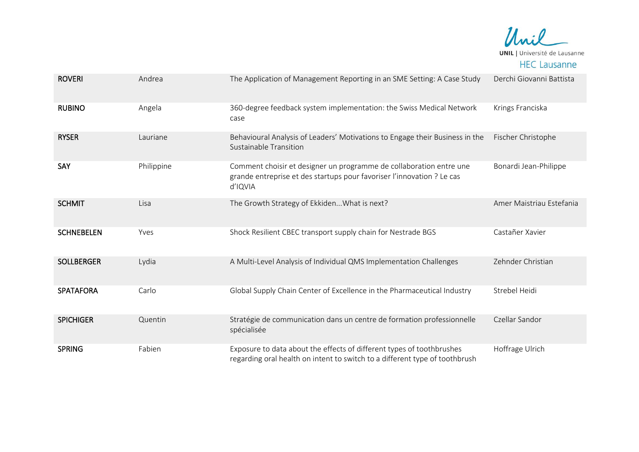

| <b>ROVERI</b>     | Andrea     | The Application of Management Reporting in an SME Setting: A Case Study                                                                                  | Derchi Giovanni Battista |
|-------------------|------------|----------------------------------------------------------------------------------------------------------------------------------------------------------|--------------------------|
| <b>RUBINO</b>     | Angela     | 360-degree feedback system implementation: the Swiss Medical Network<br>case                                                                             | Krings Franciska         |
| <b>RYSER</b>      | Lauriane   | Behavioural Analysis of Leaders' Motivations to Engage their Business in the<br>Sustainable Transition                                                   | Fischer Christophe       |
| SAY               | Philippine | Comment choisir et designer un programme de collaboration entre une<br>grande entreprise et des startups pour favoriser l'innovation ? Le cas<br>d'IQVIA | Bonardi Jean-Philippe    |
| <b>SCHMIT</b>     | Lisa       | The Growth Strategy of Ekkiden What is next?                                                                                                             | Amer Maistriau Estefania |
| <b>SCHNEBELEN</b> | Yves       | Shock Resilient CBEC transport supply chain for Nestrade BGS                                                                                             | Castañer Xavier          |
| <b>SOLLBERGER</b> | Lydia      | A Multi-Level Analysis of Individual QMS Implementation Challenges                                                                                       | Zehnder Christian        |
| <b>SPATAFORA</b>  | Carlo      | Global Supply Chain Center of Excellence in the Pharmaceutical Industry                                                                                  | Strebel Heidi            |
| <b>SPICHIGER</b>  | Quentin    | Stratégie de communication dans un centre de formation professionnelle<br>spécialisée                                                                    | Czellar Sandor           |
| <b>SPRING</b>     | Fabien     | Exposure to data about the effects of different types of toothbrushes<br>regarding oral health on intent to switch to a different type of toothbrush     | Hoffrage Ulrich          |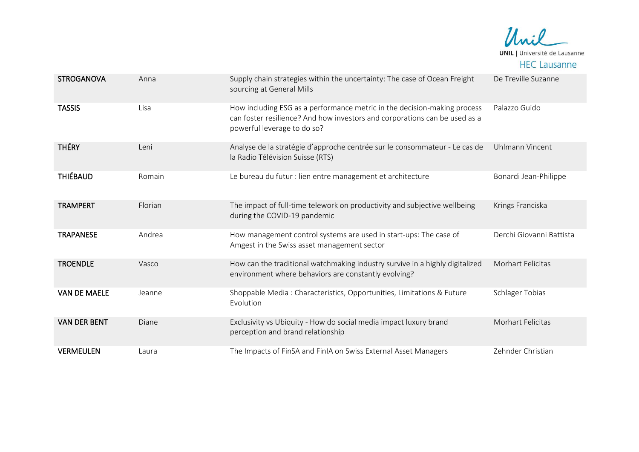

| <b>STROGANOVA</b>   | Anna    | Supply chain strategies within the uncertainty: The case of Ocean Freight<br>sourcing at General Mills                                                                                | De Treville Suzanne      |
|---------------------|---------|---------------------------------------------------------------------------------------------------------------------------------------------------------------------------------------|--------------------------|
| <b>TASSIS</b>       | Lisa    | How including ESG as a performance metric in the decision-making process<br>can foster resilience? And how investors and corporations can be used as a<br>powerful leverage to do so? | Palazzo Guido            |
| <b>THÉRY</b>        | Leni    | Analyse de la stratégie d'approche centrée sur le consommateur - Le cas de<br>la Radio Télévision Suisse (RTS)                                                                        | Uhlmann Vincent          |
| <b>THIÉBAUD</b>     | Romain  | Le bureau du futur : lien entre management et architecture                                                                                                                            | Bonardi Jean-Philippe    |
| <b>TRAMPERT</b>     | Florian | The impact of full-time telework on productivity and subjective wellbeing<br>during the COVID-19 pandemic                                                                             | Krings Franciska         |
| <b>TRAPANESE</b>    | Andrea  | How management control systems are used in start-ups: The case of<br>Amgest in the Swiss asset management sector                                                                      | Derchi Giovanni Battista |
| <b>TROENDLE</b>     | Vasco   | How can the traditional watchmaking industry survive in a highly digitalized<br>environment where behaviors are constantly evolving?                                                  | Morhart Felicitas        |
| <b>VAN DE MAELE</b> | Jeanne  | Shoppable Media: Characteristics, Opportunities, Limitations & Future<br>Evolution                                                                                                    | Schlager Tobias          |
| <b>VAN DER BENT</b> | Diane   | Exclusivity vs Ubiquity - How do social media impact luxury brand<br>perception and brand relationship                                                                                | Morhart Felicitas        |
| <b>VERMEULEN</b>    | Laura   | The Impacts of FinSA and FinIA on Swiss External Asset Managers                                                                                                                       | Zehnder Christian        |